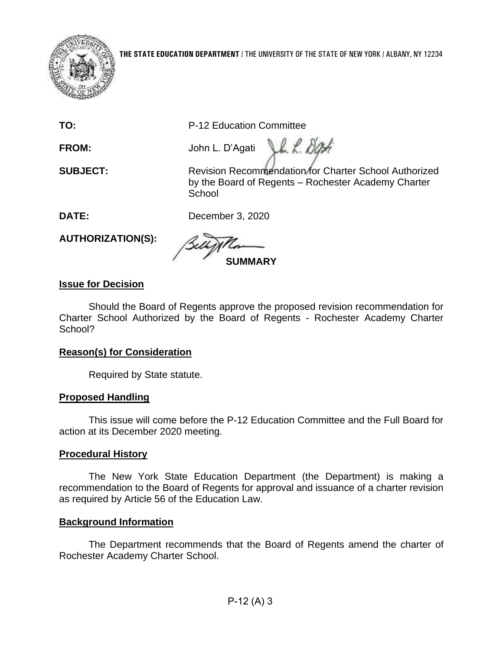

**TO:** P-12 Education Committee

**FROM:** John L. D'Agati

**SUBJECT:** Revision Recommendation for Charter School Authorized by the Board of Regents – Rochester Academy Charter **School** 

Vh L. Dati

**DATE:** December 3, 2020

**AUTHORIZATION(S):** 

**SUMMARY** 

# **Issue for Decision**

 Charter School Authorized by the Board of Regents - Rochester Academy Charter Should the Board of Regents approve the proposed revision recommendation for School?

# **Reason(s) for Consideration**

Required by State statute.

# **Proposed Handling**

This issue will come before the P-12 Education Committee and the Full Board for action at its December 2020 meeting.

# **Procedural History**

The New York State Education Department (the Department) is making a recommendation to the Board of Regents for approval and issuance of a charter revision as required by Article 56 of the Education Law.

# **Background Information**

The Department recommends that the Board of Regents amend the charter of Rochester Academy Charter School.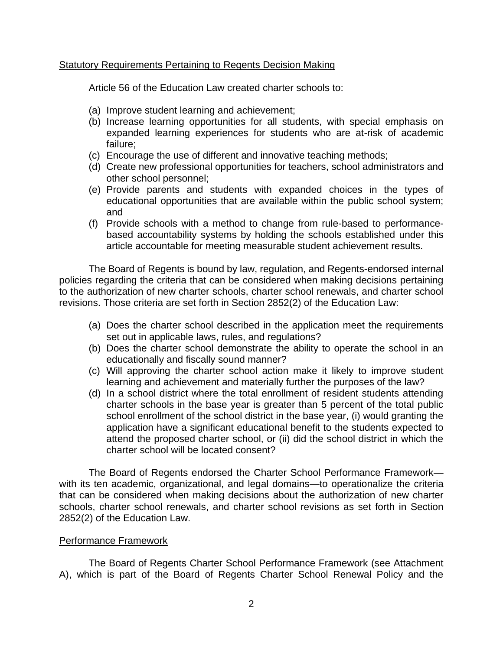## Statutory Requirements Pertaining to Regents Decision Making

Article 56 of the Education Law created charter schools to:

- (a) Improve student learning and achievement;
- (b) Increase learning opportunities for all students, with special emphasis on expanded learning experiences for students who are at-risk of academic failure;
- (c) Encourage the use of different and innovative teaching methods;
- (d) Create new professional opportunities for teachers, school administrators and other school personnel;
- educational opportunities that are available within the public school system; (e) Provide parents and students with expanded choices in the types of and
- (f) Provide schools with a method to change from rule-based to performancebased accountability systems by holding the schools established under this article accountable for meeting measurable student achievement results.

 policies regarding the criteria that can be considered when making decisions pertaining to the authorization of new charter schools, charter school renewals, and charter school The Board of Regents is bound by law, regulation, and Regents-endorsed internal revisions. Those criteria are set forth in Section 2852(2) of the Education Law:

- (a) Does the charter school described in the application meet the requirements set out in applicable laws, rules, and regulations?
- (b) Does the charter school demonstrate the ability to operate the school in an educationally and fiscally sound manner?
- (c) Will approving the charter school action make it likely to improve student learning and achievement and materially further the purposes of the law?
- charter schools in the base year is greater than 5 percent of the total public attend the proposed charter school, or (ii) did the school district in which the (d) In a school district where the total enrollment of resident students attending school enrollment of the school district in the base year, (i) would granting the application have a significant educational benefit to the students expected to charter school will be located consent?

 The Board of Regents endorsed the Charter School Performance Framework— with its ten academic, organizational, and legal domains—to operationalize the criteria that can be considered when making decisions about the authorization of new charter schools, charter school renewals, and charter school revisions as set forth in Section 2852(2) of the Education Law.

## Performance Framework

 A), which is part of the Board of Regents Charter School Renewal Policy and the The Board of Regents Charter School Performance Framework (see Attachment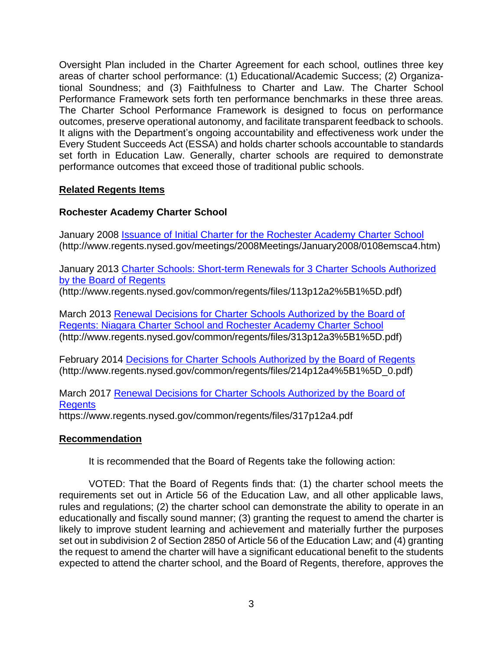Oversight Plan included in the Charter Agreement for each school, outlines three key tional Soundness; and (3) Faithfulness to Charter and Law. The Charter School The Charter School Performance Framework is designed to focus on performance areas of charter school performance: (1) Educational/Academic Success; (2) Organiza-Performance Framework sets forth ten performance benchmarks in these three areas*.* outcomes, preserve operational autonomy, and facilitate transparent feedback to schools. It aligns with the Department's ongoing accountability and effectiveness work under the Every Student Succeeds Act (ESSA) and holds charter schools accountable to standards set forth in Education Law. Generally, charter schools are required to demonstrate performance outcomes that exceed those of traditional public schools.

## **Related Regents Items**

## **Rochester Academy Charter School**

January 2008 [Issuance of Initial Charter for the Rochester Academy Charter School](https://www.regents.nysed.gov/meetings/2008Meetings/January2008/0108emsca4.htm)  (http://www.regents.nysed.gov/meetings/2008Meetings/January2008/0108emsca4.htm)

January 2013 [Charter Schools: Short-term Renewals for 3 Charter Schools Authorized](http://www.regents.nysed.gov/common/regents/files/113p12a2%5B1%5D.pdf)  by the Board of Regents

(http://www.regents.nysed.gov/common/regents/files/113p12a2%5B1%5D.pdf)

March 2013 [Renewal Decisions for Charter Schools Authorized by the Board of](http://www.regents.nysed.gov/common/regents/files/313p12a3%5B1%5D.pdf)  [Regents: Niagara Charter School and Rochester Academy Charter School](http://www.regents.nysed.gov/common/regents/files/313p12a3%5B1%5D.pdf)  (http://www.regents.nysed.gov/common/regents/files/313p12a3%5B1%5D.pdf)

February 2014 [Decisions for Charter Schools Authorized by the Board of Regents](http://www.regents.nysed.gov/common/regents/files/214p12a4%5B1%5D_0.pdf)  (http://www.regents.nysed.gov/common/regents/files/214p12a4%5B1%5D\_0.pdf)

March 2017 [Renewal Decisions for Charter Schools Authorized by the Board of](https://www.regents.nysed.gov/common/regents/files/317p12a4.pdf)  **Regents** 

https://www.regents.nysed.gov/common/regents/files/317p12a4.pdf

## **Recommendation**

It is recommended that the Board of Regents take the following action:

 VOTED: That the Board of Regents finds that: (1) the charter school meets the requirements set out in Article 56 of the Education Law, and all other applicable laws, rules and regulations; (2) the charter school can demonstrate the ability to operate in an educationally and fiscally sound manner; (3) granting the request to amend the charter is set out in subdivision 2 of Section 2850 of Article 56 of the Education Law; and (4) granting the request to amend the charter will have a significant educational benefit to the students expected to attend the charter school, and the Board of Regents, therefore, approves the likely to improve student learning and achievement and materially further the purposes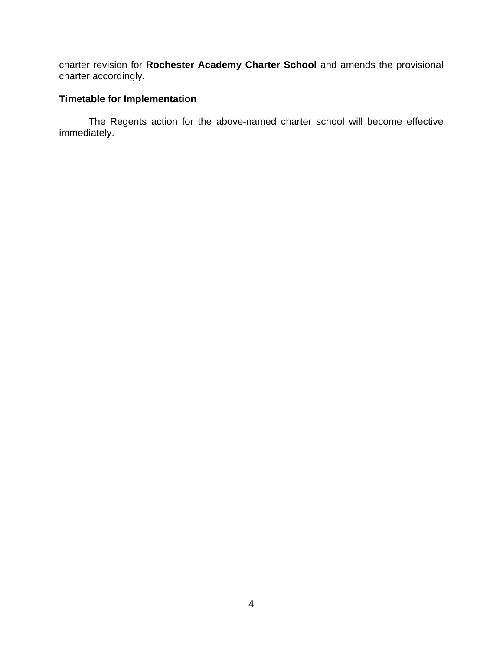charter revision for **Rochester Academy Charter School** and amends the provisional charter accordingly.

## **Timetable for Implementation**

 The Regents action for the above-named charter school will become effective immediately.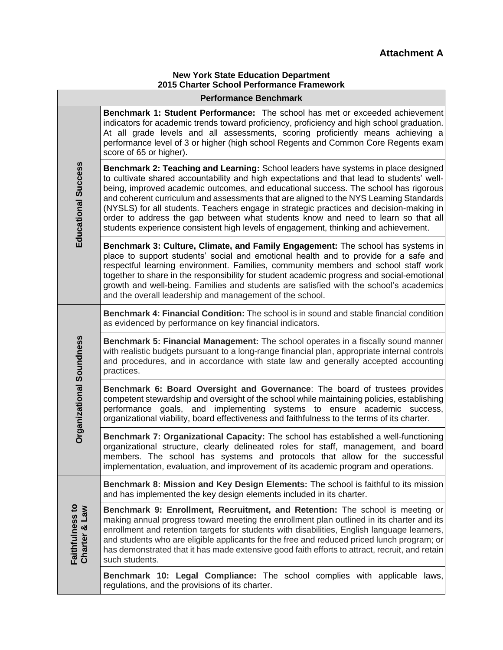#### **New York State Education Department 2015 Charter School Performance Framework**

|                                         | <b>Performance Benchmark</b>                                                                                                                                                                                                                                                                                                                                                                                                                                                                                                                                                                                                           |
|-----------------------------------------|----------------------------------------------------------------------------------------------------------------------------------------------------------------------------------------------------------------------------------------------------------------------------------------------------------------------------------------------------------------------------------------------------------------------------------------------------------------------------------------------------------------------------------------------------------------------------------------------------------------------------------------|
|                                         | <b>Benchmark 1: Student Performance:</b> The school has met or exceeded achievement<br>indicators for academic trends toward proficiency, proficiency and high school graduation.<br>At all grade levels and all assessments, scoring proficiently means achieving a<br>performance level of 3 or higher (high school Regents and Common Core Regents exam<br>score of 65 or higher).                                                                                                                                                                                                                                                  |
| Educational Success                     | Benchmark 2: Teaching and Learning: School leaders have systems in place designed<br>to cultivate shared accountability and high expectations and that lead to students' well-<br>being, improved academic outcomes, and educational success. The school has rigorous<br>and coherent curriculum and assessments that are aligned to the NYS Learning Standards<br>(NYSLS) for all students. Teachers engage in strategic practices and decision-making in<br>order to address the gap between what students know and need to learn so that all<br>students experience consistent high levels of engagement, thinking and achievement. |
|                                         | Benchmark 3: Culture, Climate, and Family Engagement: The school has systems in<br>place to support students' social and emotional health and to provide for a safe and<br>respectful learning environment. Families, community members and school staff work<br>together to share in the responsibility for student academic progress and social-emotional<br>growth and well-being. Families and students are satisfied with the school's academics<br>and the overall leadership and management of the school.                                                                                                                      |
|                                         | Benchmark 4: Financial Condition: The school is in sound and stable financial condition<br>as evidenced by performance on key financial indicators.                                                                                                                                                                                                                                                                                                                                                                                                                                                                                    |
| <b>Organizational Soundness</b>         | Benchmark 5: Financial Management: The school operates in a fiscally sound manner<br>with realistic budgets pursuant to a long-range financial plan, appropriate internal controls<br>and procedures, and in accordance with state law and generally accepted accounting<br>practices.                                                                                                                                                                                                                                                                                                                                                 |
|                                         | Benchmark 6: Board Oversight and Governance: The board of trustees provides<br>competent stewardship and oversight of the school while maintaining policies, establishing<br>performance goals, and implementing systems to ensure academic success,<br>organizational viability, board effectiveness and faithfulness to the terms of its charter.                                                                                                                                                                                                                                                                                    |
|                                         | Benchmark 7: Organizational Capacity: The school has established a well-functioning<br>organizational structure, clearly delineated roles for staff, management, and board<br>members. The school has systems and protocols that allow for the successful<br>implementation, evaluation, and improvement of its academic program and operations.                                                                                                                                                                                                                                                                                       |
|                                         | Benchmark 8: Mission and Key Design Elements: The school is faithful to its mission<br>and has implemented the key design elements included in its charter.                                                                                                                                                                                                                                                                                                                                                                                                                                                                            |
| <b>Faithfulness to</b><br>Charter & Law | <b>Benchmark 9: Enrollment, Recruitment, and Retention:</b> The school is meeting or<br>making annual progress toward meeting the enrollment plan outlined in its charter and its<br>enrollment and retention targets for students with disabilities, English language learners,<br>and students who are eligible applicants for the free and reduced priced lunch program; or<br>has demonstrated that it has made extensive good faith efforts to attract, recruit, and retain<br>such students.                                                                                                                                     |
|                                         | Benchmark 10: Legal Compliance: The school complies with applicable laws,<br>regulations, and the provisions of its charter.                                                                                                                                                                                                                                                                                                                                                                                                                                                                                                           |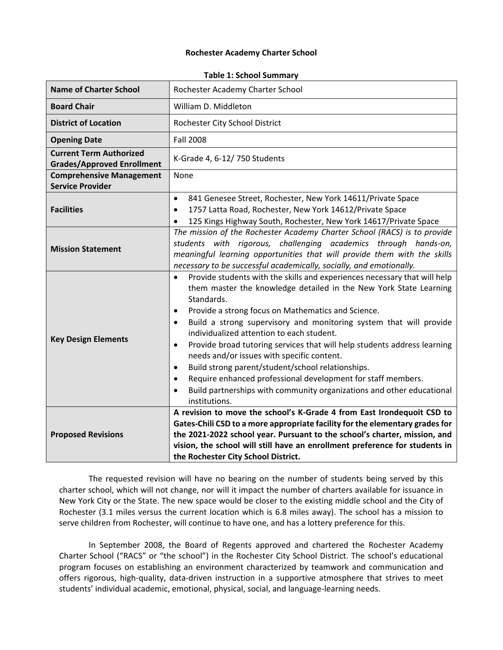#### **Rochester Academy Charter School**

|                                                                     | . apic 1. Jenoci Janimal                                                                                                                                                                                                                                                                                                                                                                                                                                                                                                                                                                                                                                                                                                                                     |
|---------------------------------------------------------------------|--------------------------------------------------------------------------------------------------------------------------------------------------------------------------------------------------------------------------------------------------------------------------------------------------------------------------------------------------------------------------------------------------------------------------------------------------------------------------------------------------------------------------------------------------------------------------------------------------------------------------------------------------------------------------------------------------------------------------------------------------------------|
| <b>Name of Charter School</b>                                       | Rochester Academy Charter School                                                                                                                                                                                                                                                                                                                                                                                                                                                                                                                                                                                                                                                                                                                             |
| <b>Board Chair</b>                                                  | William D. Middleton                                                                                                                                                                                                                                                                                                                                                                                                                                                                                                                                                                                                                                                                                                                                         |
| <b>District of Location</b>                                         | Rochester City School District                                                                                                                                                                                                                                                                                                                                                                                                                                                                                                                                                                                                                                                                                                                               |
| <b>Opening Date</b>                                                 | <b>Fall 2008</b>                                                                                                                                                                                                                                                                                                                                                                                                                                                                                                                                                                                                                                                                                                                                             |
| <b>Current Term Authorized</b><br><b>Grades/Approved Enrollment</b> | K-Grade 4, 6-12/750 Students                                                                                                                                                                                                                                                                                                                                                                                                                                                                                                                                                                                                                                                                                                                                 |
| <b>Comprehensive Management</b><br><b>Service Provider</b>          | None                                                                                                                                                                                                                                                                                                                                                                                                                                                                                                                                                                                                                                                                                                                                                         |
| <b>Facilities</b>                                                   | 841 Genesee Street, Rochester, New York 14611/Private Space<br>$\bullet$<br>1757 Latta Road, Rochester, New York 14612/Private Space<br>$\bullet$<br>125 Kings Highway South, Rochester, New York 14617/Private Space<br>$\bullet$                                                                                                                                                                                                                                                                                                                                                                                                                                                                                                                           |
| <b>Mission Statement</b>                                            | The mission of the Rochester Academy Charter School (RACS) is to provide<br>students with rigorous, challenging academics through hands-on,<br>meaningful learning opportunities that will provide them with the skills<br>necessary to be successful academically, socially, and emotionally.                                                                                                                                                                                                                                                                                                                                                                                                                                                               |
| <b>Key Design Elements</b>                                          | Provide students with the skills and experiences necessary that will help<br>$\bullet$<br>them master the knowledge detailed in the New York State Learning<br>Standards.<br>Provide a strong focus on Mathematics and Science.<br>$\bullet$<br>Build a strong supervisory and monitoring system that will provide<br>$\bullet$<br>individualized attention to each student.<br>Provide broad tutoring services that will help students address learning<br>$\bullet$<br>needs and/or issues with specific content.<br>Build strong parent/student/school relationships.<br>$\bullet$<br>Require enhanced professional development for staff members.<br>$\bullet$<br>Build partnerships with community organizations and other educational<br>institutions. |
| <b>Proposed Revisions</b>                                           | A revision to move the school's K-Grade 4 from East Irondequoit CSD to<br>Gates-Chili CSD to a more appropriate facility for the elementary grades for<br>the 2021-2022 school year. Pursuant to the school's charter, mission, and<br>vision, the school will still have an enrollment preference for students in<br>the Rochester City School District.                                                                                                                                                                                                                                                                                                                                                                                                    |

#### **Table 1: School Summary**

 The requested revision will have no bearing on the number of students being served by this charter school, which will not change, nor will it impact the number of charters available for issuance in New York City or the State. The new space would be closer to the existing middle school and the City of Rochester (3.1 miles versus the current location which is 6.8 miles away). The school has a mission to serve children from Rochester, will continue to have one, and has a lottery preference for this.

 In September 2008, the Board of Regents approved and chartered the Rochester Academy Charter School ("RACS" or "the school") in the Rochester City School District. The school's educational offers rigorous, high-quality, data-driven instruction in a supportive atmosphere that strives to meet program focuses on establishing an environment characterized by teamwork and communication and students' individual academic, emotional, physical, social, and language-learning needs.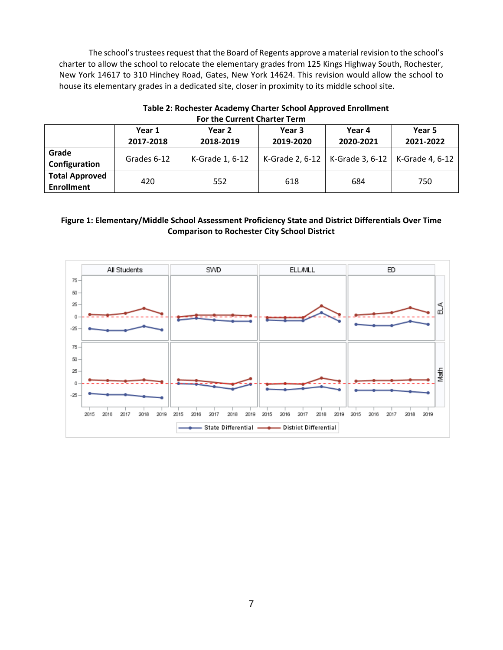The school'strustees request that the Board of Regents approve a material revision to the school's New York 14617 to 310 Hinchey Road, Gates, New York 14624. This revision would allow the school to charter to allow the school to relocate the elementary grades from 125 Kings Highway South, Rochester, house its elementary grades in a dedicated site, closer in proximity to its middle school site.

|                                            |                     | For the current charter Term |                     |                                                     |                     |  |
|--------------------------------------------|---------------------|------------------------------|---------------------|-----------------------------------------------------|---------------------|--|
|                                            | Year 1<br>2017-2018 | Year 2<br>2018-2019          | Year 3<br>2019-2020 | Year 4<br>2020-2021                                 | Year 5<br>2021-2022 |  |
| Grade<br>Configuration                     | Grades 6-12         | K-Grade 1, 6-12              |                     | K-Grade 2, 6-12   K-Grade 3, 6-12   K-Grade 4, 6-12 |                     |  |
| <b>Total Approved</b><br><b>Enrollment</b> | 420                 | 552                          | 618                 | 684                                                 | 750                 |  |

#### **Table 2: Rochester Academy Charter School Approved Enrollment For the Current Charter**

#### **Figure 1: Elementary/Middle School Assessment Proficiency State and District Differentials Over Time Comparison to Rochester City School District**

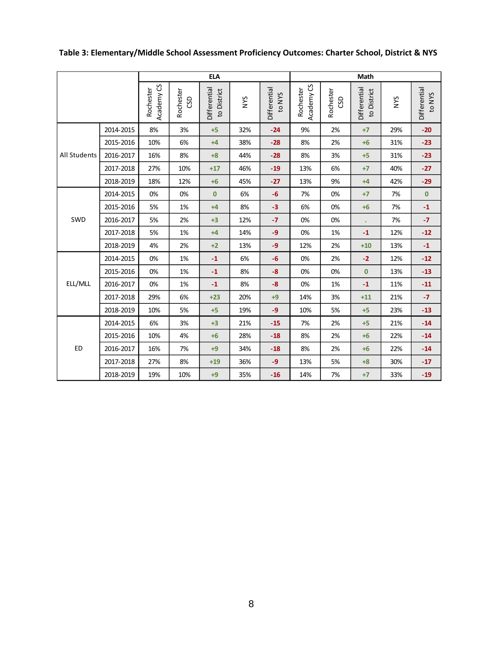|                     |           |                         |                  | <b>ELA</b>                  |     |                        |                         |                        | Math                        |            |                        |
|---------------------|-----------|-------------------------|------------------|-----------------------------|-----|------------------------|-------------------------|------------------------|-----------------------------|------------|------------------------|
|                     |           | Academy CS<br>Rochester | Rochester<br>GSD | Differential<br>to District | NYS | Differential<br>to NYS | Academy CS<br>Rochester | Rochester<br><b>GD</b> | Differential<br>to District | <b>SAN</b> | Differential<br>to NYS |
| <b>All Students</b> | 2014-2015 | 8%                      | 3%               | $+5$                        | 32% | $-24$                  | 9%                      | 2%                     | $+7$                        | 29%        | $-20$                  |
|                     | 2015-2016 | 10%                     | 6%               | $+4$                        | 38% | $-28$                  | 8%                      | 2%                     | $+6$                        | 31%        | $-23$                  |
|                     | 2016-2017 | 16%                     | 8%               | $+8$                        | 44% | $-28$                  | 8%                      | 3%                     | $+5$                        | 31%        | $-23$                  |
|                     | 2017-2018 | 27%                     | 10%              | $+17$                       | 46% | $-19$                  | 13%                     | 6%                     | $+7$                        | 40%        | $-27$                  |
|                     | 2018-2019 | 18%                     | 12%              | $+6$                        | 45% | $-27$                  | 13%                     | 9%                     | $+4$                        | 42%        | $-29$                  |
| SWD                 | 2014-2015 | 0%                      | 0%               | $\mathbf{0}$                | 6%  | $-6$                   | 7%                      | 0%                     | $+7$                        | 7%         | $\mathbf 0$            |
|                     | 2015-2016 | 5%                      | 1%               | $+4$                        | 8%  | $-3$                   | 6%                      | 0%                     | $+6$                        | 7%         | $-1$                   |
|                     | 2016-2017 | 5%                      | 2%               | $+3$                        | 12% | $-7$                   | 0%                      | 0%                     | $\bullet$                   | 7%         | $-7$                   |
|                     | 2017-2018 | 5%                      | 1%               | $+4$                        | 14% | $-9$                   | 0%                      | 1%                     | $-1$                        | 12%        | $-12$                  |
|                     | 2018-2019 | 4%                      | 2%               | $+2$                        | 13% | $-9$                   | 12%                     | 2%                     | $+10$                       | 13%        | $\textbf{-1}$          |
|                     | 2014-2015 | 0%                      | 1%               | $-1$                        | 6%  | $-6$                   | 0%                      | 2%                     | $-2$                        | 12%        | $-12$                  |
|                     | 2015-2016 | 0%                      | 1%               | $\mathbf{-1}$               | 8%  | $-8$                   | 0%                      | 0%                     | $\pmb{0}$                   | 13%        | $-13$                  |
| ELL/MLL             | 2016-2017 | 0%                      | 1%               | $-1$                        | 8%  | $-8$                   | 0%                      | 1%                     | $-1$                        | 11%        | $-11$                  |
|                     | 2017-2018 | 29%                     | 6%               | $+23$                       | 20% | $+9$                   | 14%                     | 3%                     | $+11$                       | 21%        | $-7$                   |
|                     | 2018-2019 | 10%                     | 5%               | $+5$                        | 19% | $-9$                   | 10%                     | 5%                     | $+5$                        | 23%        | $-13$                  |
|                     | 2014-2015 | 6%                      | 3%               | $+3$                        | 21% | $-15$                  | 7%                      | 2%                     | $+5$                        | 21%        | $-14$                  |
|                     | 2015-2016 | 10%                     | 4%               | $+6$                        | 28% | $-18$                  | 8%                      | 2%                     | $+6$                        | 22%        | $-14$                  |
| <b>ED</b>           | 2016-2017 | 16%                     | 7%               | $+9$                        | 34% | $-18$                  | 8%                      | 2%                     | $+6$                        | 22%        | $-14$                  |
|                     | 2017-2018 | 27%                     | 8%               | $+19$                       | 36% | $-9$                   | 13%                     | 5%                     | $+8$                        | 30%        | $-17$                  |
|                     | 2018-2019 | 19%                     | 10%              | $+9$                        | 35% | $-16$                  | 14%                     | 7%                     | $+7$                        | 33%        | $-19$                  |
|                     |           |                         |                  |                             |     |                        |                         |                        |                             |            |                        |

## **Table 3: Elementary/Middle School Assessment Proficiency Outcomes: Charter School, District & NYS**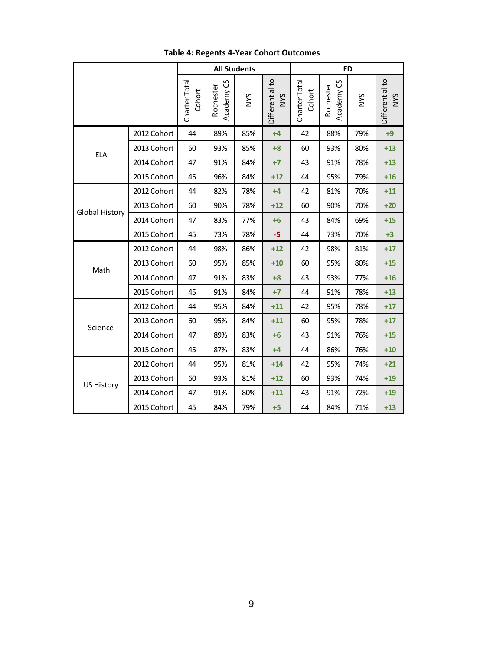| Differential to<br>Differential to<br>Charter Total<br>უ<br>Charter Total<br>Academy CS<br>Rochester<br>Rochester<br>Cohort<br>Cohort<br>Academy<br><b>SAN</b><br><b>SAN</b><br><b>NYS</b><br>2012 Cohort<br>44<br>89%<br>42<br>88%<br>85%<br>79%<br>$+4$<br>2013 Cohort<br>60<br>93%<br>85%<br>60<br>93%<br>80%<br>$+8$<br><b>ELA</b><br>2014 Cohort<br>47<br>91%<br>84%<br>43<br>91%<br>78%<br>$+7$<br>2015 Cohort<br>45<br>96%<br>84%<br>44<br>95%<br>79%<br>$+12$<br>2012 Cohort<br>44<br>82%<br>78%<br>42<br>81%<br>70%<br>$+4$<br>2013 Cohort<br>90%<br>90%<br>60<br>78%<br>$+12$<br>60<br>70%<br><b>Global History</b><br>2014 Cohort<br>47<br>83%<br>77%<br>43<br>84%<br>69%<br>$+6$<br>2015 Cohort<br>45<br>73%<br>78%<br>44<br>73%<br>70%<br>$-5$<br>2012 Cohort<br>44<br>98%<br>86%<br>$+12$<br>42<br>98%<br>81%<br>2013 Cohort<br>60<br>95%<br>85%<br>$+10$<br>60<br>95%<br>80%<br>Math<br>2014 Cohort<br>47<br>91%<br>83%<br>43<br>93%<br>77%<br>$+8$ |            |
|--------------------------------------------------------------------------------------------------------------------------------------------------------------------------------------------------------------------------------------------------------------------------------------------------------------------------------------------------------------------------------------------------------------------------------------------------------------------------------------------------------------------------------------------------------------------------------------------------------------------------------------------------------------------------------------------------------------------------------------------------------------------------------------------------------------------------------------------------------------------------------------------------------------------------------------------------------------------|------------|
|                                                                                                                                                                                                                                                                                                                                                                                                                                                                                                                                                                                                                                                                                                                                                                                                                                                                                                                                                                    | <b>NYS</b> |
|                                                                                                                                                                                                                                                                                                                                                                                                                                                                                                                                                                                                                                                                                                                                                                                                                                                                                                                                                                    | $+9$       |
|                                                                                                                                                                                                                                                                                                                                                                                                                                                                                                                                                                                                                                                                                                                                                                                                                                                                                                                                                                    | $+13$      |
|                                                                                                                                                                                                                                                                                                                                                                                                                                                                                                                                                                                                                                                                                                                                                                                                                                                                                                                                                                    | $+13$      |
|                                                                                                                                                                                                                                                                                                                                                                                                                                                                                                                                                                                                                                                                                                                                                                                                                                                                                                                                                                    | $+16$      |
|                                                                                                                                                                                                                                                                                                                                                                                                                                                                                                                                                                                                                                                                                                                                                                                                                                                                                                                                                                    | $+11$      |
|                                                                                                                                                                                                                                                                                                                                                                                                                                                                                                                                                                                                                                                                                                                                                                                                                                                                                                                                                                    | $+20$      |
|                                                                                                                                                                                                                                                                                                                                                                                                                                                                                                                                                                                                                                                                                                                                                                                                                                                                                                                                                                    | $+15$      |
|                                                                                                                                                                                                                                                                                                                                                                                                                                                                                                                                                                                                                                                                                                                                                                                                                                                                                                                                                                    | $+3$       |
|                                                                                                                                                                                                                                                                                                                                                                                                                                                                                                                                                                                                                                                                                                                                                                                                                                                                                                                                                                    | $+17$      |
|                                                                                                                                                                                                                                                                                                                                                                                                                                                                                                                                                                                                                                                                                                                                                                                                                                                                                                                                                                    | $+15$      |
|                                                                                                                                                                                                                                                                                                                                                                                                                                                                                                                                                                                                                                                                                                                                                                                                                                                                                                                                                                    | $+16$      |
| 2015 Cohort<br>45<br>91%<br>84%<br>44<br>91%<br>78%<br>$+7$                                                                                                                                                                                                                                                                                                                                                                                                                                                                                                                                                                                                                                                                                                                                                                                                                                                                                                        | $+13$      |
| 2012 Cohort<br>44<br>95%<br>84%<br>42<br>95%<br>78%<br>$+11$                                                                                                                                                                                                                                                                                                                                                                                                                                                                                                                                                                                                                                                                                                                                                                                                                                                                                                       | $+17$      |
| 2013 Cohort<br>60<br>95%<br>84%<br>$+11$<br>60<br>95%<br>78%<br>Science                                                                                                                                                                                                                                                                                                                                                                                                                                                                                                                                                                                                                                                                                                                                                                                                                                                                                            | $+17$      |
| 2014 Cohort<br>47<br>89%<br>83%<br>43<br>91%<br>76%<br>$+6$                                                                                                                                                                                                                                                                                                                                                                                                                                                                                                                                                                                                                                                                                                                                                                                                                                                                                                        | $+15$      |
| 2015 Cohort<br>45<br>87%<br>83%<br>44<br>86%<br>76%<br>$+4$                                                                                                                                                                                                                                                                                                                                                                                                                                                                                                                                                                                                                                                                                                                                                                                                                                                                                                        | $+10$      |
| 2012 Cohort<br>44<br>95%<br>81%<br>95%<br>$+14$<br>42<br>74%                                                                                                                                                                                                                                                                                                                                                                                                                                                                                                                                                                                                                                                                                                                                                                                                                                                                                                       | $+21$      |
| 2013 Cohort<br>60<br>93%<br>81%<br>93%<br>$+12$<br>60<br>74%<br><b>US History</b>                                                                                                                                                                                                                                                                                                                                                                                                                                                                                                                                                                                                                                                                                                                                                                                                                                                                                  | $+19$      |
| 2014 Cohort<br>47<br>91%<br>80%<br>43<br>91%<br>72%<br>$+11$                                                                                                                                                                                                                                                                                                                                                                                                                                                                                                                                                                                                                                                                                                                                                                                                                                                                                                       | $+19$      |
| 2015 Cohort<br>45<br>84%<br>79%<br>84%<br>71%<br>$+5$<br>44                                                                                                                                                                                                                                                                                                                                                                                                                                                                                                                                                                                                                                                                                                                                                                                                                                                                                                        | $+13$      |

# **Table 4: Regents 4-Year Cohort Outcomes**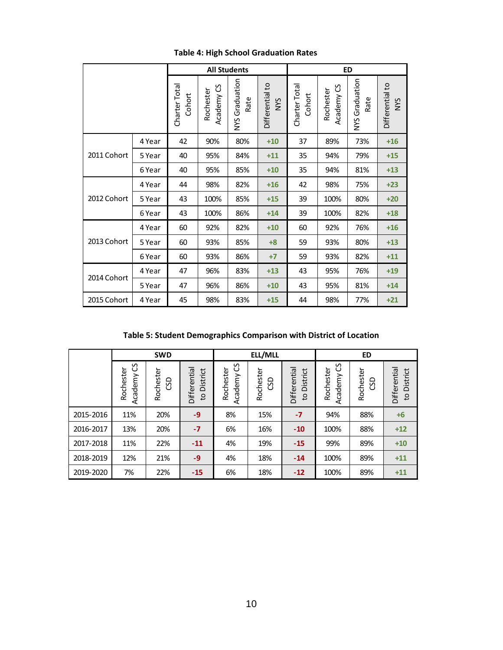|             |                        |                         |                        | <b>All Students</b>           |                         | <b>ED</b>                        |                        |                               |       |  |  |
|-------------|------------------------|-------------------------|------------------------|-------------------------------|-------------------------|----------------------------------|------------------------|-------------------------------|-------|--|--|
|             | Charter Tota<br>Cohort | Academy CS<br>Rochester | NYS Graduation<br>Rate | Differential to<br><b>NVS</b> | Charter Total<br>Cohort | <u>ვ</u><br>Rochester<br>Academy | NYS Graduation<br>Rate | Differential to<br><b>NYS</b> |       |  |  |
|             | 4 Year                 | 42                      | 90%                    | 80%                           | $+10$                   | 37                               | 89%                    | 73%                           | $+16$ |  |  |
| 2011 Cohort | 5 Year                 | 40                      | 95%                    | 84%                           | $+11$                   | 35                               | 94%                    | 79%                           | $+15$ |  |  |
|             | 6 Year                 | 40                      | 95%                    | 85%                           | $+10$                   | 35                               | 94%                    | 81%                           | $+13$ |  |  |
| 2012 Cohort | 4 Year                 | 44                      | 98%                    | 82%                           | $+16$                   | 42                               | 98%                    | 75%                           | $+23$ |  |  |
|             | 5 Year                 | 43                      | 100%                   | 85%                           | $+15$                   | 39                               | 100%                   | 80%                           | $+20$ |  |  |
|             | 6 Year                 | 43                      | 100%                   | 86%                           | $+14$                   | 39                               | 100%                   | 82%                           | $+18$ |  |  |
|             | 4 Year                 | 60                      | 92%                    | 82%                           | $+10$                   | 60                               | 92%                    | 76%                           | $+16$ |  |  |
| 2013 Cohort | 5 Year                 | 60                      | 93%                    | 85%                           | $+8$                    | 59                               | 93%                    | 80%                           | $+13$ |  |  |
|             | 6 Year                 | 60                      | 93%                    | 86%                           | $+7$                    | 59                               | 93%                    | 82%                           | $+11$ |  |  |
| 2014 Cohort | 4 Year                 | 47                      | 96%                    | 83%                           | $+13$                   | 43                               | 95%                    | 76%                           | $+19$ |  |  |
|             | 5 Year                 | 47                      | 96%                    | 86%                           | $+10$                   | 43                               | 95%                    | 81%                           | $+14$ |  |  |
| 2015 Cohort | 4 Year                 | 45                      | 98%                    | 83%                           | $+15$                   | 44                               | 98%                    | 77%                           | $+21$ |  |  |
|             |                        |                         |                        |                               |                         |                                  |                        |                               |       |  |  |

**Table 4: High School Graduation Rates** 

**Table 5: Student Demographics Comparison with District of Location** 

|           | <b>SWD</b>                |                  |                                          |                           | ELL/MLL          |                                          | <b>ED</b>                 |                |                                            |  |
|-----------|---------------------------|------------------|------------------------------------------|---------------------------|------------------|------------------------------------------|---------------------------|----------------|--------------------------------------------|--|
|           | უ<br>Rochester<br>Academy | Rochester<br>CSD | Differential<br>District<br>$\mathbf{c}$ | უ<br>Rochester<br>Academy | Rochester<br>GSD | Differential<br>District<br>$\mathbf{c}$ | უ<br>Rochester<br>Academy | Rochester<br>ဌ | Differential<br>District<br>$\overline{c}$ |  |
| 2015-2016 | 11%                       | 20%              | $-9$                                     | 8%                        | 15%              | $-7$                                     | 94%                       | 88%            | $+6$                                       |  |
| 2016-2017 | 13%                       | 20%              | $-7$                                     | 6%                        | 16%              | $-10$                                    | 100%                      | 88%            | $+12$                                      |  |
| 2017-2018 | 11%                       | 22%              | $-11$                                    | 4%                        | 19%              | $-15$                                    | 99%                       | 89%            | $+10$                                      |  |
| 2018-2019 | 12%                       | 21%              | $-9$                                     | 4%                        | 18%              | $-14$                                    | 100%                      | 89%            | $+11$                                      |  |
| 2019-2020 | 7%                        | 22%              | $-15$                                    | 6%                        | 18%              | $-12$                                    | 100%                      | 89%            | $+11$                                      |  |
|           |                           |                  |                                          |                           |                  |                                          |                           |                |                                            |  |